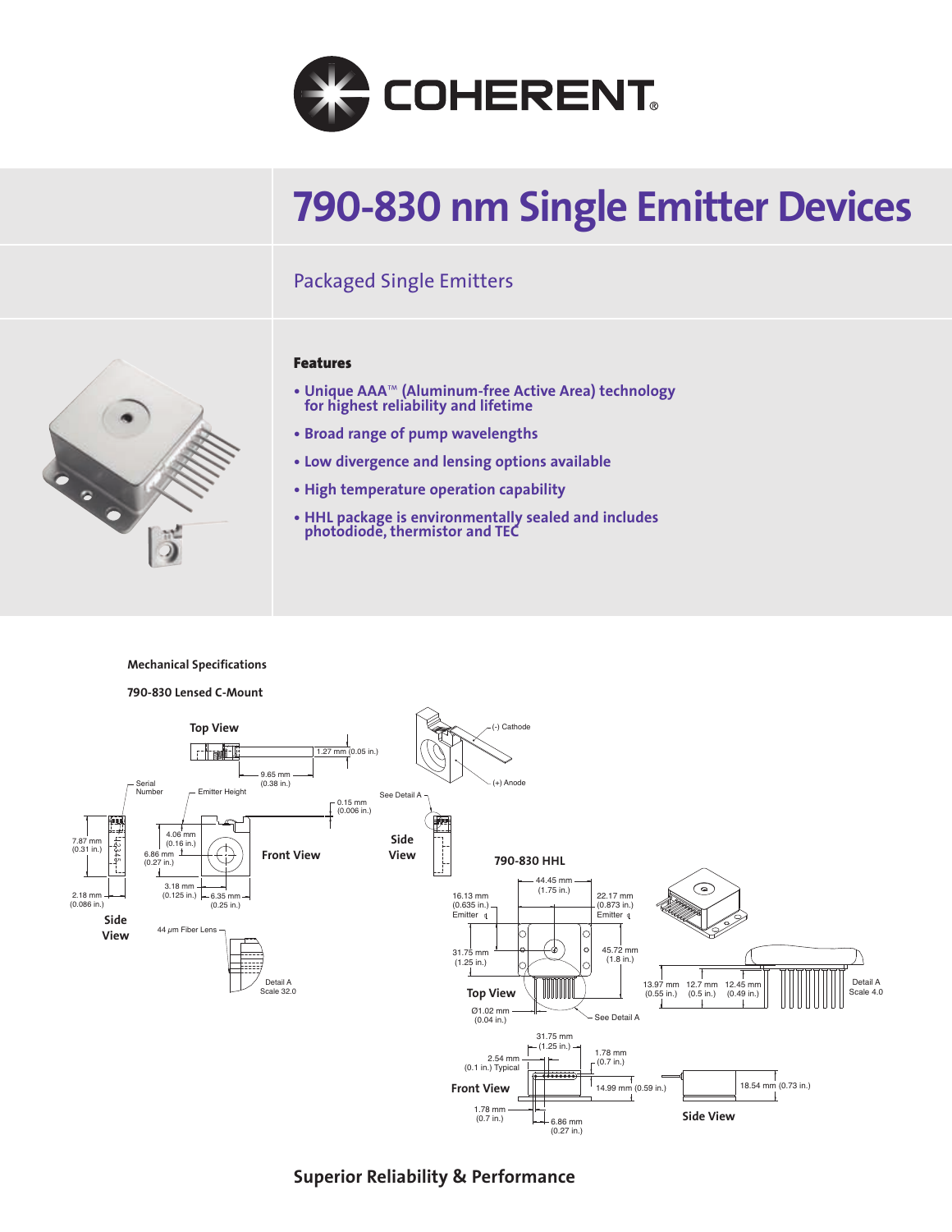

# **790-830 nm Single Emitter Devices**

# Packaged Single Emitters



#### **Features**

- **Unique AAA**™ **(Aluminum-free Active Area) technology for highest reliability and lifetime**
- **Broad range of pump wavelengths**
- **Low divergence and lensing options available**
- **High temperature operation capability**
- **HHL package is environmentally sealed and includes photodiode, thermistor and TEC**

#### **Mechanical Specifications**



**Superior Reliability & Performance**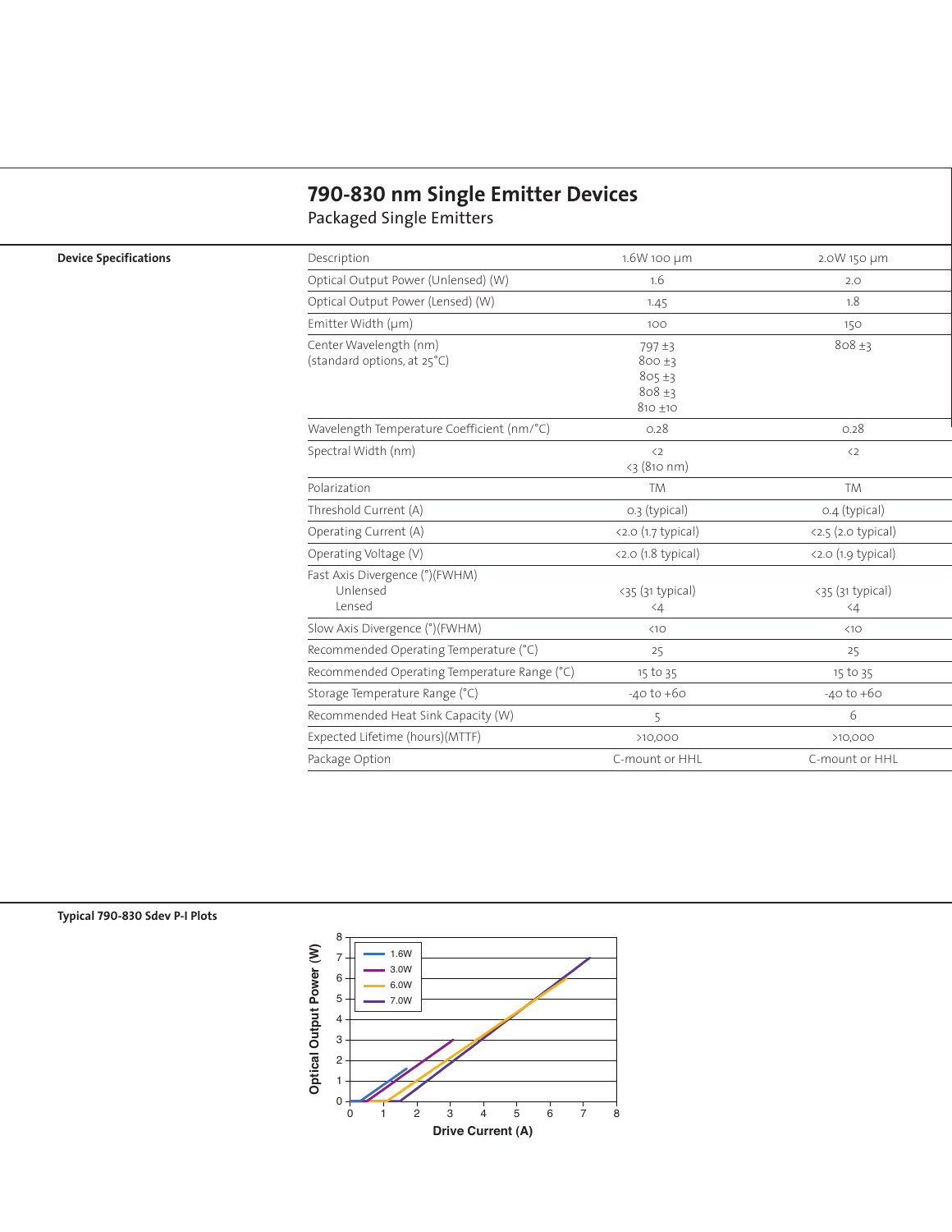## **790-830 nm Single Emitter Devices** Packaged Single Emitters

### **Device Specifications**

| Description                                           | 1.6W 100 µm                                        | 2.0W 150 µm                                 |
|-------------------------------------------------------|----------------------------------------------------|---------------------------------------------|
| Optical Output Power (Unlensed) (W)                   | 1.6                                                | 2.0                                         |
| Optical Output Power (Lensed) (W)                     | 1.45                                               | 1.8                                         |
| Emitter Width (µm)                                    | 100                                                | 150                                         |
| Center Wavelength (nm)<br>(standard options, at 25°C) | 797±3<br>800±3<br>805±3<br>$808 + 3$<br>$810 + 10$ | $808 + 3$                                   |
| Wavelength Temperature Coefficient (nm/°C)            | 0.28                                               | 0.28                                        |
| Spectral Width (nm)                                   | $\langle 2$<br>$<$ 3 (810 nm)                      | $\langle 2$                                 |
| Polarization                                          | <b>TM</b>                                          | <b>TM</b>                                   |
| Threshold Current (A)                                 | 0.3 (typical)                                      | 0.4 (typical)                               |
| Operating Current (A)                                 | $\langle 2.0 (1.7 \text{ typical})$                | $\langle 2.5 (2.0 \text{ typical}) \rangle$ |
| Operating Voltage (V)                                 | $\langle 2.0 (1.8 \text{ typical})$                | $\langle 2.0 (1.9 typical) \rangle$         |
| Fast Axis Divergence (°)(FWHM)<br>Unlensed<br>Lensed  | $<$ 35 (31 typical)<br>$\leq 4$                    | $<$ 35 (31 typical)<br>$\langle 4$          |
| Slow Axis Divergence (°)(FWHM)                        | $\triangleleft10$                                  | <10                                         |
| Recommended Operating Temperature (°C)                | 25                                                 | 25                                          |
| Recommended Operating Temperature Range (°C)          | 15 to 35                                           | 15 to 35                                    |
| Storage Temperature Range (°C)                        | $-40$ to $+60$                                     | $-40$ to $+60$                              |
| Recommended Heat Sink Capacity (W)                    | 5                                                  | 6                                           |
| Expected Lifetime (hours)(MTTF)                       | >10,000                                            | >10,000                                     |
| Package Option                                        | C-mount or HHL                                     | C-mount or HHL                              |

### **Typical 790-830 Sdev P-I Plots**

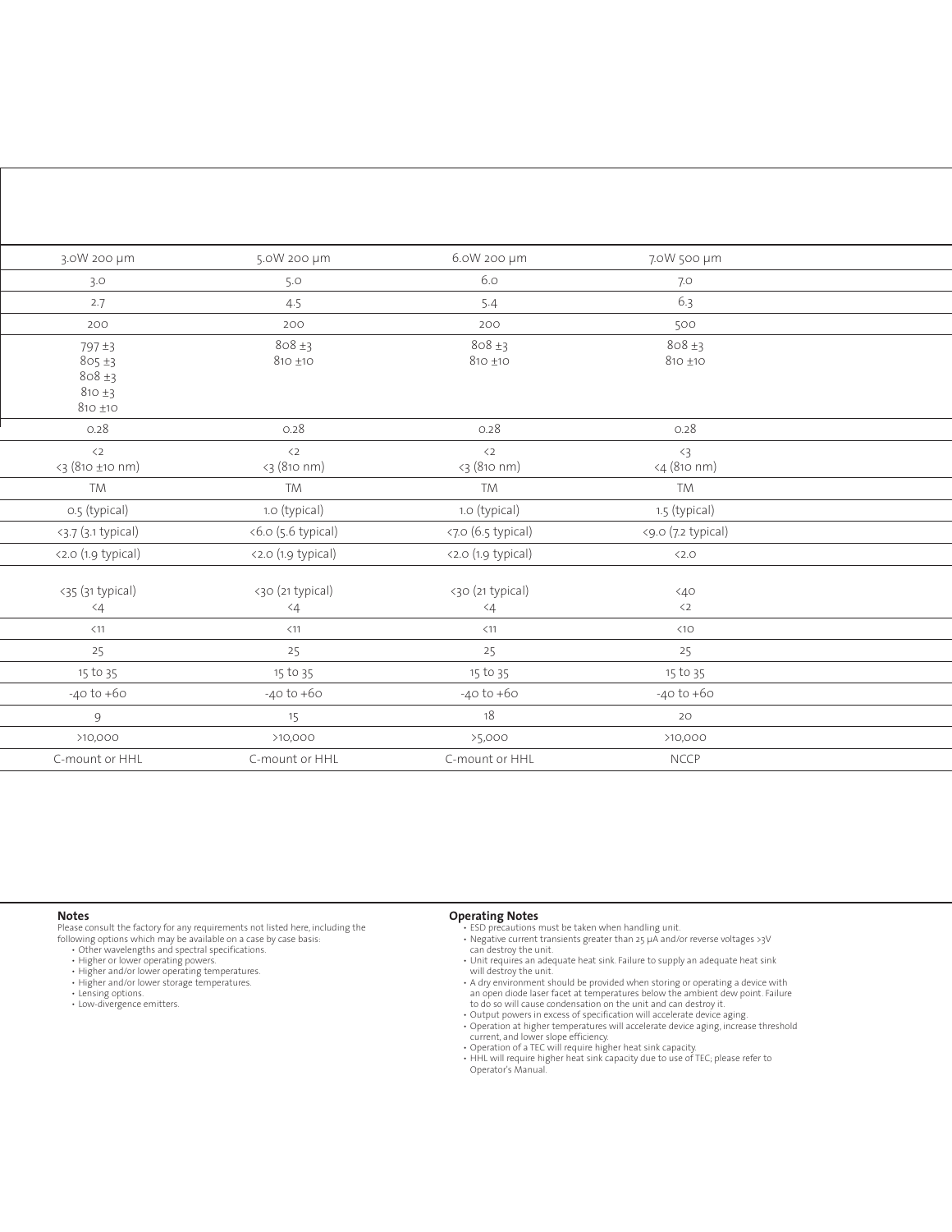| 3.0W 200 µm                                                       | 5.0W 200 µm                     | 6.0W 200 µm                  | 7.0W 500 µm               |  |
|-------------------------------------------------------------------|---------------------------------|------------------------------|---------------------------|--|
| 3.0                                                               | 5.0                             | 6.0                          | 7.0                       |  |
| 2.7                                                               | 4.5                             | 5.4                          | 6.3                       |  |
| 200                                                               | 200                             | 200                          | 500                       |  |
| 797 ±3<br>$805 \pm 3$<br>$808 + 3$<br>$810 \pm 3$<br>$810 \pm 10$ | $808 \pm 3$<br>$810 + 10$       | $808 \pm 3$<br>$810 \pm 10$  | $808 \pm 3$<br>$810 + 10$ |  |
| 0.28                                                              | 0.28                            | 0.28                         | 0.28                      |  |
| $\langle 2$<br><3 (810 ±10 nm)                                    | $\langle 2$<br><3 (810 nm)      | $\langle 2$<br><3 (810 nm)   | $\langle 3$<br>4 (810 nm) |  |
| <b>TM</b>                                                         | <b>TM</b>                       | <b>TM</b>                    | TM                        |  |
| o.5 (typical)                                                     | 1.0 (typical)                   | 1.0 (typical)                | 1.5 (typical)             |  |
| $3.7 (3.1 + 1)$                                                   | $<6.0$ (5.6 typical)            | $\langle 7.0 (6.5 typical)$  | <9.0 (7.2 typical)        |  |
| <2.0 (1.9 typical)                                                | <2.0 (1.9 typical)              | <2.0 (1.9 typical)           | < 2.0                     |  |
| <35 (31 typical)<br>$\measuredangle 4$                            | <30 (21 typical)<br>$\langle 4$ | <30 (21 typical)<br>$\leq 4$ | 40<<br>$\langle 2$        |  |
| $<$ 11                                                            | $<$ 11                          | $<11$                        | $\triangleleft10$         |  |
| 25                                                                | 25                              | 25                           | 25                        |  |
| 15 to 35                                                          | 15 to 35                        | 15 to 35                     | 15 to 35                  |  |
| $-40$ to $+60$                                                    | $-40$ to $+60$                  | $-40$ to $+60$               | $-40$ to $+60$            |  |
| 9                                                                 | 15                              | 18                           | 20                        |  |
| >10,000                                                           | >10,000                         | >5,000                       | >10,000                   |  |
| C-mount or HHL                                                    | C-mount or HHL                  | C-mount or HHL               | <b>NCCP</b>               |  |

#### **Notes**

Please consult the factory for any requirements not listed here, including the<br>following options which may be available on a case by case basis:<br>• Other wavelengths and spectal specifications.<br>• Higher or lower operating p

- 
- 
- 
- Higher and/or lower operating temperatures. Higher and/or lower storage temperatures. Lensing options.
- 
- Low-divergence emitters.

- 
- **Operating Notes**<br>
 ESD precautions must be taken when handling unit.<br>
 Negative current transients greater than 25 µA and/or reverse voltages >3V<br>
can destroy the unit.<br>
 Unit requires an adequate heat sink. Failure to
	-
	- will destroy the unit. A dry environment should be provided when storing or operating a device with an open diode laser facet at temperatures below the ambient dew point. Failure
	-
	- to do so will cause condensation on the unit and can destroy it.<br>• Output powers in excess of specification will accelerate device aging.<br>• Operation at higher temperatures will accelerate device aging, increase threshold
	-
	- current, and lower slope efficiency. Operation of a TEC will require higher heat sink capacity. HHL will require higher heat sink capacity due to use of TEC; please refer to Operator's Manual.